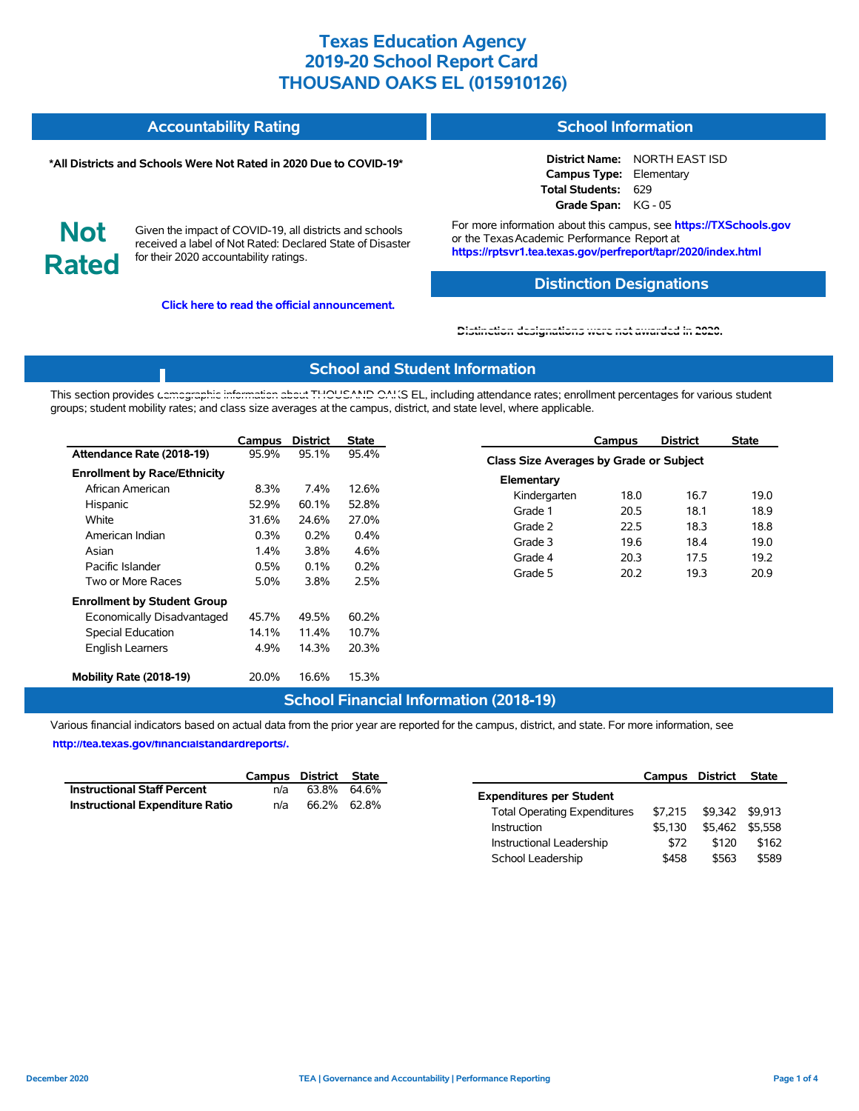| <b>Accountability Rating</b> | School Information |
|------------------------------|--------------------|
|                              |                    |

#### **\*All Districts and Schools Were Not Rated in 2020 Due to COVID-19\***

**District Name:** NORTH EAST ISD **Campus Type:** Elementary **Total Students:** 629 **Grade Span:** KG - 05

**Not Rated**

Given the impact of COVID-19, all districts and schools received a label of Not Rated: Declared State of Disaster for their 2020 accountability ratings.

**Click here to read the official announcement.**

For more information about this campus, see **https://TXSchools.gov** or the Texas Academic Performance Report at **https://rptsvr1.tea.texas.gov/perfreport/tapr/2020/index.html**

#### **Distinction Designations**

Instructional Leadership  $$72$  \$120 \$162 School Leadership  $$458$  \$563 \$589

**[Distinction designations were not awarded in 2020.](https://rptsvr1.tea.texas.gov/perfreport/tapr/2020/index.html)**

#### **School and Student Information**

This section provides [demographic information about THOUSAND OAK](https://tea.texas.gov/about-tea/news-and-multimedia/correspondence/taa-letters/every-student-succeeds-act-essa-waiver-approval-2020-state-academic-accountability)S EL, including attendance rates; enrollment percentages for various student groups; student mobility rates; and class size averages at the campus, district, and state level, where applicable.

|                                                                                                                  | Campus                                 | <b>District</b>                        | State                                   |                                                                        | Campus                               | <b>District</b>                      | <b>State</b>                         |  |
|------------------------------------------------------------------------------------------------------------------|----------------------------------------|----------------------------------------|-----------------------------------------|------------------------------------------------------------------------|--------------------------------------|--------------------------------------|--------------------------------------|--|
| Attendance Rate (2018-19)                                                                                        | 95.9%                                  | 95.1%                                  | 95.4%                                   | Class Size Averages by Grade or Subject                                |                                      |                                      |                                      |  |
| <b>Enrollment by Race/Ethnicity</b><br>African American<br>Hispanic<br>White<br>American Indian<br>Asian         | 8.3%<br>52.9%<br>31.6%<br>0.3%<br>1.4% | 7.4%<br>60.1%<br>24.6%<br>0.2%<br>3.8% | 12.6%<br>52.8%<br>27.0%<br>0.4%<br>4.6% | Elementary<br>Kindergarten<br>Grade 1<br>Grade 2<br>Grade 3<br>Grade 4 | 18.0<br>20.5<br>22.5<br>19.6<br>20.3 | 16.7<br>18.1<br>18.3<br>18.4<br>17.5 | 19.0<br>18.9<br>18.8<br>19.0<br>19.2 |  |
| Pacific Islander<br>Two or More Races                                                                            | 0.5%<br>5.0%                           | 0.1%<br>3.8%                           | 0.2%<br>2.5%                            | Grade 5                                                                | 20.2                                 | 19.3                                 | 20.9                                 |  |
| <b>Enrollment by Student Group</b><br>Economically Disadvantaged<br>Special Education<br><b>English Learners</b> | 45.7%<br>14.1%<br>4.9%                 | 49.5%<br>11.4%<br>14.3%                | 60.2%<br>10.7%<br>20.3%                 |                                                                        |                                      |                                      |                                      |  |
| Mobility Rate (2018-19)                                                                                          | 20.0%                                  | 16.6%                                  | 15.3%                                   |                                                                        |                                      |                                      |                                      |  |

### **School Financial Information (2018-19)**

Various financial indicators based on actual data from the prior year are reported for the campus, district, and state. For more information, see

**[http://tea.texas.gov/financialstandardreports/.](http://tea.texas.gov/financialstandardreports/)**

|                                        |     | Campus District State |                                     | Campus District         | State           |
|----------------------------------------|-----|-----------------------|-------------------------------------|-------------------------|-----------------|
| <b>Instructional Staff Percent</b>     | n/a | 63.8% 64.6%           | <b>Expenditures per Student</b>     |                         |                 |
| <b>Instructional Expenditure Ratio</b> | n/a | 66.2% 62.8%           | <b>Total Operating Expenditures</b> | \$7,215 \$9,342 \$9,913 |                 |
|                                        |     |                       | \$5.130<br>Instruction              |                         | \$5,462 \$5,558 |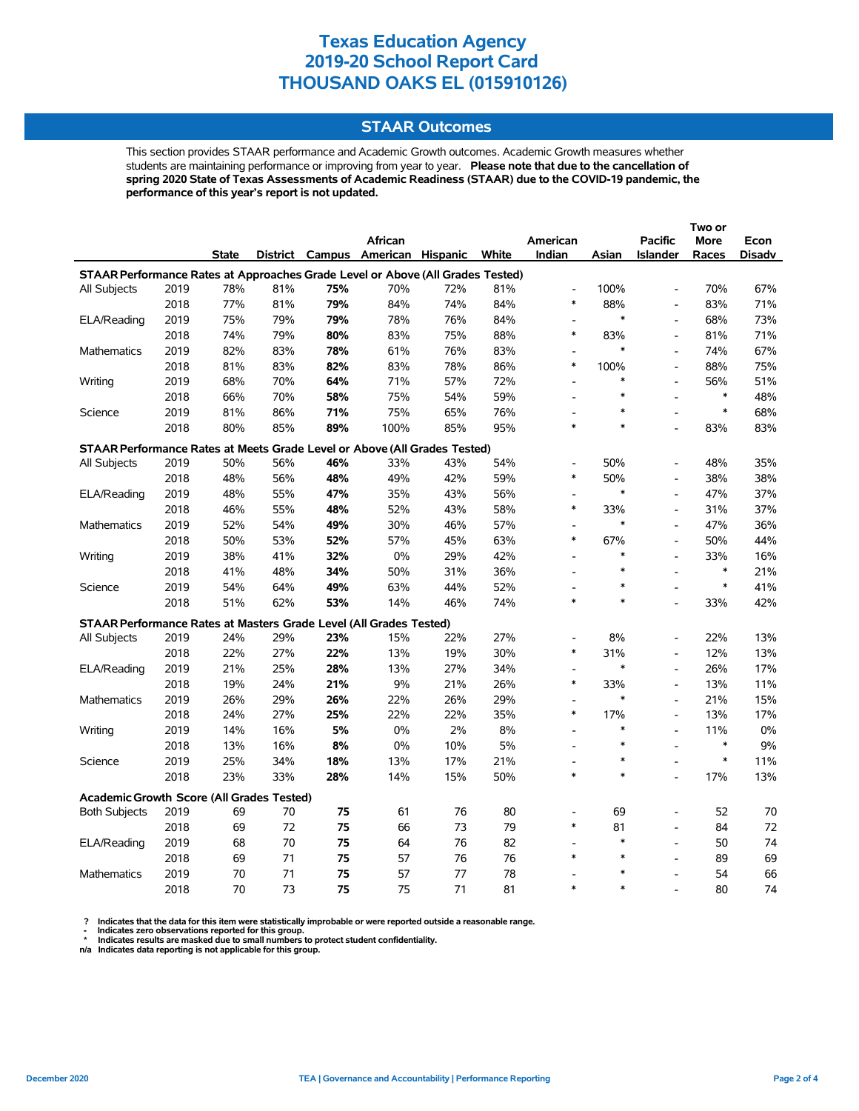### **STAAR Outcomes**

This section provides STAAR performance and Academic Growth outcomes. Academic Growth measures whether students are maintaining performance or improving from year to year. **Please note that due to the cancellation of spring 2020 State of Texas Assessments of Academic Readiness (STAAR) due to the COVID-19 pandemic, the performance of this year's report is not updated.**

|                                                                                |      |              |     |     | African                                 |     |     | American                           |               | <b>Pacific</b>               | More          | Econ   |
|--------------------------------------------------------------------------------|------|--------------|-----|-----|-----------------------------------------|-----|-----|------------------------------------|---------------|------------------------------|---------------|--------|
|                                                                                |      | <b>State</b> |     |     | District Campus American Hispanic White |     |     | Indian                             | Asian         | <b>Islander</b>              | Races         | Disadv |
| STAAR Performance Rates at Approaches Grade Level or Above (All Grades Tested) |      |              |     |     |                                         |     |     |                                    |               |                              |               |        |
| All Subjects                                                                   | 2019 | 78%          | 81% | 75% | 70%                                     | 72% | 81% | $\overline{a}$                     | 100%          | $\frac{1}{2}$                | 70%           | 67%    |
|                                                                                | 2018 | 77%          | 81% | 79% | 84%                                     | 74% | 84% | $\ast$                             | 88%           | $\qquad \qquad \blacksquare$ | 83%           | 71%    |
| ELA/Reading                                                                    | 2019 | 75%          | 79% | 79% | 78%                                     | 76% | 84% |                                    | *             | $\overline{a}$               | 68%           | 73%    |
|                                                                                | 2018 | 74%          | 79% | 80% | 83%                                     | 75% | 88% | $\ast$                             | 83%           | $\overline{a}$               | 81%           | 71%    |
| <b>Mathematics</b>                                                             | 2019 | 82%          | 83% | 78% | 61%                                     | 76% | 83% | $\blacksquare$                     | $\ast$        | $\qquad \qquad \blacksquare$ | 74%           | 67%    |
|                                                                                | 2018 | 81%          | 83% | 82% | 83%                                     | 78% | 86% | $\ast$                             | 100%          | $\frac{1}{2}$                | 88%           | 75%    |
| Writing                                                                        | 2019 | 68%          | 70% | 64% | 71%                                     | 57% | 72% | $\overline{\phantom{a}}$           | *             | $\overline{a}$               | 56%           | 51%    |
|                                                                                | 2018 | 66%          | 70% | 58% | 75%                                     | 54% | 59% |                                    | $\ast$        | $\overline{a}$               | $\ast$        | 48%    |
| Science                                                                        | 2019 | 81%          | 86% | 71% | 75%                                     | 65% | 76% | $\overline{a}$                     |               | $\overline{a}$               | $\ast$        | 68%    |
|                                                                                | 2018 | 80%          | 85% | 89% | 100%                                    | 85% | 95% | $\ast$                             | $\ast$        |                              | 83%           | 83%    |
| STAAR Performance Rates at Meets Grade Level or Above (All Grades Tested)      |      |              |     |     |                                         |     |     |                                    |               |                              |               |        |
| All Subjects                                                                   | 2019 | 50%          | 56% | 46% | 33%                                     | 43% | 54% |                                    | 50%           | $\overline{a}$               | 48%           | 35%    |
|                                                                                | 2018 | 48%          | 56% | 48% | 49%                                     | 42% | 59% | $\ast$                             | 50%           | $\overline{a}$               | 38%           | 38%    |
| ELA/Reading                                                                    | 2019 | 48%          | 55% | 47% | 35%                                     | 43% | 56% | $\overline{\phantom{a}}$           | $\ast$        | $\frac{1}{2}$                | 47%           | 37%    |
|                                                                                | 2018 | 46%          | 55% | 48% | 52%                                     | 43% | 58% | $\ast$                             | 33%           | L,                           | 31%           | 37%    |
| Mathematics                                                                    | 2019 | 52%          | 54% | 49% | 30%                                     | 46% | 57% |                                    | $\ast$        | $\overline{a}$               | 47%           | 36%    |
|                                                                                | 2018 | 50%          | 53% | 52% | 57%                                     | 45% | 63% | $\ast$                             | 67%           | $\overline{\phantom{a}}$     | 50%           | 44%    |
| Writing                                                                        | 2019 | 38%          | 41% | 32% | $0\%$                                   | 29% | 42% | $\overline{\phantom{a}}$           | $\ast$        | $\frac{1}{2}$                | 33%           | 16%    |
|                                                                                | 2018 | 41%          | 48% | 34% | 50%                                     | 31% | 36% | $\overline{\phantom{a}}$           | $\ast$        | $\overline{a}$               | $\ast$        | 21%    |
| Science                                                                        | 2019 | 54%          | 64% | 49% | 63%                                     | 44% | 52% |                                    | $\ast$        | $\overline{a}$               | $\ast$        | 41%    |
|                                                                                | 2018 | 51%          | 62% | 53% | 14%                                     | 46% | 74% | $\ast$                             | $\ast$        | $\overline{a}$               | 33%           | 42%    |
| STAAR Performance Rates at Masters Grade Level (All Grades Tested)             |      |              |     |     |                                         |     |     |                                    |               |                              |               |        |
|                                                                                |      |              |     |     |                                         |     |     |                                    |               |                              |               |        |
| All Subjects                                                                   | 2019 | 24%          | 29% | 23% | 15%                                     | 22% | 27% | $\overline{\phantom{a}}$<br>$\ast$ | 8%            | $\qquad \qquad \blacksquare$ | 22%           | 13%    |
|                                                                                | 2018 | 22%          | 27% | 22% | 13%                                     | 19% | 30% |                                    | 31%<br>$\ast$ | L,                           | 12%           | 13%    |
| ELA/Reading                                                                    | 2019 | 21%          | 25% | 28% | 13%                                     | 27% | 34% | $\ast$                             |               | $\frac{1}{2}$                | 26%           | 17%    |
|                                                                                | 2018 | 19%          | 24% | 21% | 9%                                      | 21% | 26% |                                    | 33%<br>$\ast$ | $\qquad \qquad \blacksquare$ | 13%           | 11%    |
| <b>Mathematics</b>                                                             | 2019 | 26%          | 29% | 26% | 22%                                     | 26% | 29% | $\overline{\phantom{a}}$<br>$\ast$ |               | $\overline{a}$               | 21%           | 15%    |
|                                                                                | 2018 | 24%          | 27% | 25% | 22%                                     | 22% | 35% |                                    | 17%<br>$\ast$ | $\overline{a}$               | 13%           | 17%    |
| Writing                                                                        | 2019 | 14%          | 16% | 5%  | 0%                                      | 2%  | 8%  | $\blacksquare$                     | $\ast$        | $\qquad \qquad \blacksquare$ | 11%<br>$\ast$ | 0%     |
|                                                                                | 2018 | 13%          | 16% | 8%  | 0%                                      | 10% | 5%  | $\overline{a}$                     | $\ast$        | $\overline{a}$               | $\ast$        | 9%     |
| Science                                                                        | 2019 | 25%          | 34% | 18% | 13%                                     | 17% | 21% | $\overline{\phantom{a}}$<br>$\ast$ | $\ast$        | $\overline{a}$               |               | 11%    |
|                                                                                | 2018 | 23%          | 33% | 28% | 14%                                     | 15% | 50% |                                    |               | $\overline{a}$               | 17%           | 13%    |
| <b>Academic Growth Score (All Grades Tested)</b>                               |      |              |     |     |                                         |     |     |                                    |               |                              |               |        |
| <b>Both Subjects</b>                                                           | 2019 | 69           | 70  | 75  | 61                                      | 76  | 80  |                                    | 69            |                              | 52            | 70     |
|                                                                                | 2018 | 69           | 72  | 75  | 66                                      | 73  | 79  | $\ast$                             | 81            | $\overline{a}$               | 84            | 72     |
| ELA/Reading                                                                    | 2019 | 68           | 70  | 75  | 64                                      | 76  | 82  | $\overline{a}$                     | $\ast$        | $\overline{a}$               | 50            | 74     |
|                                                                                | 2018 | 69           | 71  | 75  | 57                                      | 76  | 76  | $\ast$                             | $\ast$        | $\overline{a}$               | 89            | 69     |
| <b>Mathematics</b>                                                             | 2019 | 70           | 71  | 75  | 57                                      | 77  | 78  |                                    | $\ast$        | L,                           | 54            | 66     |
|                                                                                | 2018 | 70           | 73  | 75  | 75                                      | 71  | 81  | $\ast$                             | $\ast$        |                              | 80            | 74     |

? Indicates that the data for this item were statistically improbable or were reported outside a reasonable range.<br>- Indicates zero observations reported for this group.<br>\* Indicates results are masked due to small numbers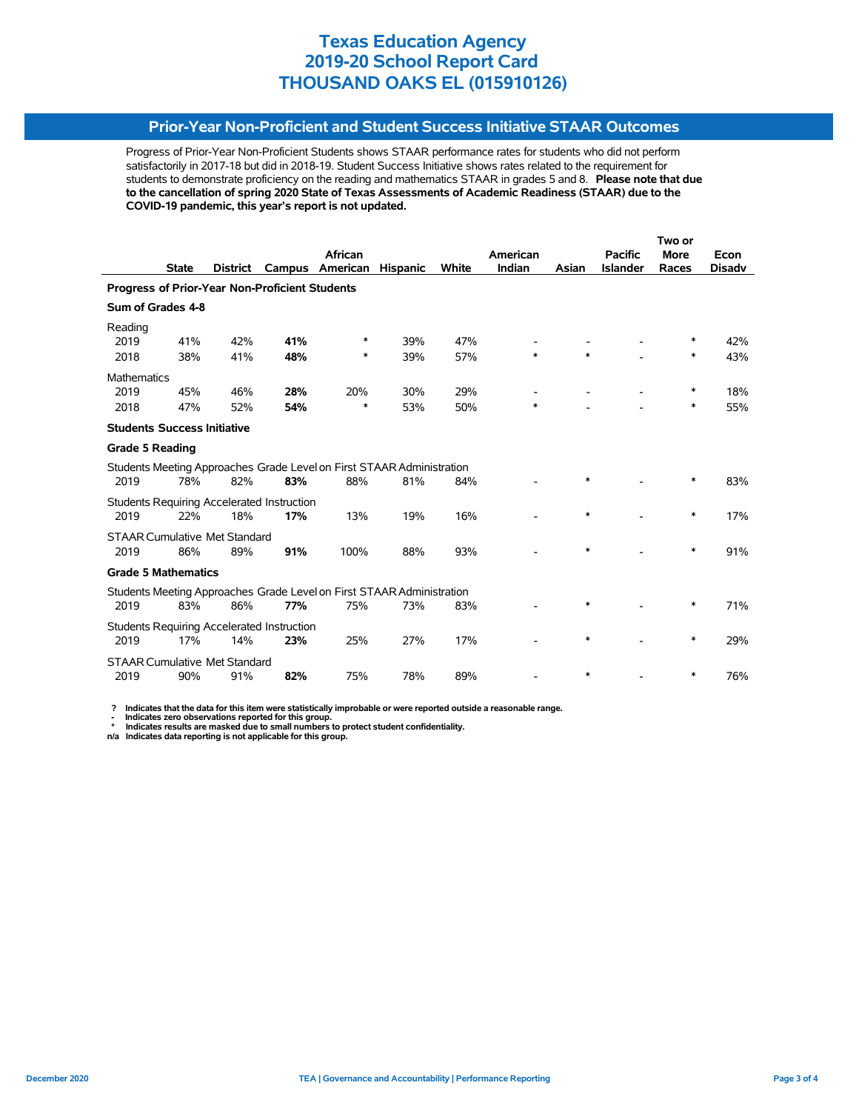### **Prior-Year Non-Proficient and Student Success Initiative STAAR Outcomes**

Progress of Prior-Year Non-Proficient Students shows STAAR performance rates for students who did not perform satisfactorily in 2017-18 but did in 2018-19. Student Success Initiative shows rates related to the requirement for students to demonstrate proficiency on the reading and mathematics STAAR in grades 5 and 8. **Please note that due to the cancellation of spring 2020 State of Texas Assessments of Academic Readiness (STAAR) due to the COVID-19 pandemic, this year's report is not updated.**

|                                                                       |              |          |                                                   |                                                                       | Two or          |       |          |        |                 |             |               |  |
|-----------------------------------------------------------------------|--------------|----------|---------------------------------------------------|-----------------------------------------------------------------------|-----------------|-------|----------|--------|-----------------|-------------|---------------|--|
|                                                                       |              |          |                                                   | <b>African</b>                                                        |                 |       | American |        | <b>Pacific</b>  | <b>More</b> | Econ          |  |
|                                                                       | <b>State</b> | District | Campus                                            | American                                                              | <b>Hispanic</b> | White | Indian   | Asian  | <b>Islander</b> | Races       | <b>Disadv</b> |  |
|                                                                       |              |          | Progress of Prior-Year Non-Proficient Students    |                                                                       |                 |       |          |        |                 |             |               |  |
| Sum of Grades 4-8                                                     |              |          |                                                   |                                                                       |                 |       |          |        |                 |             |               |  |
| Reading                                                               |              |          |                                                   |                                                                       |                 |       |          |        |                 |             |               |  |
| 2019                                                                  | 41%          | 42%      | 41%                                               | ∗                                                                     | 39%             | 47%   |          |        |                 | ∗           | 42%           |  |
| 2018                                                                  | 38%          | 41%      | 48%                                               | ∗                                                                     | 39%             | 57%   | $\ast$   | $\ast$ |                 | $\ast$      | 43%           |  |
| <b>Mathematics</b>                                                    |              |          |                                                   |                                                                       |                 |       |          |        |                 |             |               |  |
| 2019                                                                  | 45%          | 46%      | 28%                                               | 20%                                                                   | 30%             | 29%   |          |        |                 | ∗           | 18%           |  |
| 2018                                                                  | 47%          | 52%      | 54%                                               | ∗                                                                     | 53%             | 50%   | $\ast$   |        |                 | ∗           | 55%           |  |
| <b>Students Success Initiative</b>                                    |              |          |                                                   |                                                                       |                 |       |          |        |                 |             |               |  |
| <b>Grade 5 Reading</b>                                                |              |          |                                                   |                                                                       |                 |       |          |        |                 |             |               |  |
|                                                                       |              |          |                                                   | Students Meeting Approaches Grade Level on First STAAR Administration |                 |       |          |        |                 |             |               |  |
| 2019                                                                  | 78%          | 82%      | 83%                                               | 88%                                                                   | 81%             | 84%   |          | $\ast$ |                 | *           | 83%           |  |
|                                                                       |              |          | <b>Students Requiring Accelerated Instruction</b> |                                                                       |                 |       |          |        |                 |             |               |  |
| 2019                                                                  | 22%          | 18%      | 17%                                               | 13%                                                                   | 19%             | 16%   |          | $\ast$ |                 | $\ast$      | 17%           |  |
| <b>STAAR Cumulative Met Standard</b>                                  |              |          |                                                   |                                                                       |                 |       |          |        |                 |             |               |  |
| 2019                                                                  | 86%          | 89%      | 91%                                               | 100%                                                                  | 88%             | 93%   |          | $\ast$ |                 | $\ast$      | 91%           |  |
| <b>Grade 5 Mathematics</b>                                            |              |          |                                                   |                                                                       |                 |       |          |        |                 |             |               |  |
| Students Meeting Approaches Grade Level on First STAAR Administration |              |          |                                                   |                                                                       |                 |       |          |        |                 |             |               |  |
| 2019                                                                  | 83%          | 86%      | 77%                                               | 75%                                                                   | 73%             | 83%   |          | *      |                 | ∗           | 71%           |  |
|                                                                       |              |          | <b>Students Requiring Accelerated Instruction</b> |                                                                       |                 |       |          |        |                 |             |               |  |
| 2019                                                                  | 17%          | 14%      | 23%                                               | 25%                                                                   | 27%             | 17%   |          | *      |                 | ∗           | 29%           |  |
| <b>STAAR Cumulative Met Standard</b>                                  |              |          |                                                   |                                                                       |                 |       |          |        |                 |             |               |  |
| 2019                                                                  | 90%          | 91%      | 82%                                               | 75%                                                                   | 78%             | 89%   |          | $\ast$ |                 | ∗           | 76%           |  |

 **? Indicates that the data for this item were statistically improbable or were reported outside a reasonable range.**

 **- Indicates zero observations reported for this group. \* Indicates results are masked due to small numbers to protect student confidentiality.**

**n/a Indicates data reporting is not applicable for this group.**